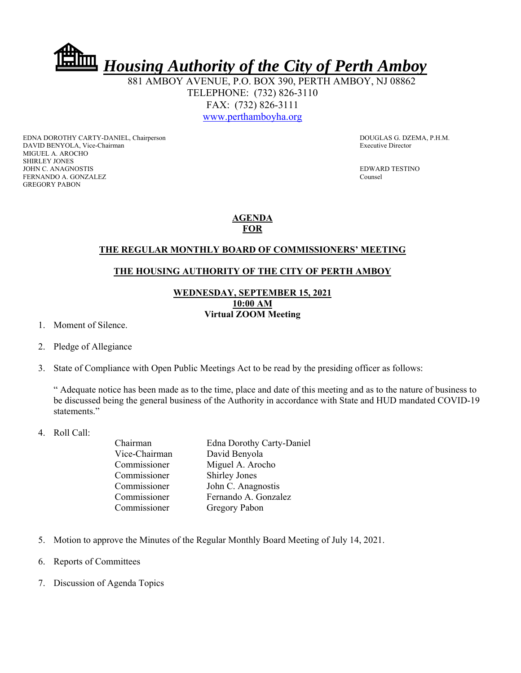*Housing Authority of the City of Perth Amboy*

 881 AMBOY AVENUE, P.O. BOX 390, PERTH AMBOY, NJ 08862 TELEPHONE: (732) 826-3110 FAX: (732) 826-3111 www.perthamboyha.org

EDNA DOROTHY CARTY-DANIEL, Chairperson DOUGLAS G. DZEMA, P.H.M. DAVID BENYOLA, Vice-Chairman Executive Director MIGUEL A. AROCHO SHIRLEY JONES JOHN C. ANAGNOSTIS EDWARD TESTINO FERNANDO A. GONZALEZ Counsel GREGORY PABON

#### **AGENDA FOR**

## **THE REGULAR MONTHLY BOARD OF COMMISSIONERS' MEETING**

### **THE HOUSING AUTHORITY OF THE CITY OF PERTH AMBOY**

#### **WEDNESDAY, SEPTEMBER 15, 2021 10:00 AM Virtual ZOOM Meeting**

- 1. Moment of Silence.
- 2. Pledge of Allegiance
- 3. State of Compliance with Open Public Meetings Act to be read by the presiding officer as follows:

" Adequate notice has been made as to the time, place and date of this meeting and as to the nature of business to be discussed being the general business of the Authority in accordance with State and HUD mandated COVID-19 statements."

4. Roll Call:

| Chairman      | <b>Edna Dorothy Carty-Daniel</b> |
|---------------|----------------------------------|
| Vice-Chairman | David Benyola                    |
| Commissioner  | Miguel A. Arocho                 |
| Commissioner  | <b>Shirley Jones</b>             |
| Commissioner  | John C. Anagnostis               |
| Commissioner  | Fernando A. Gonzalez             |
| Commissioner  | Gregory Pabon                    |

- 5. Motion to approve the Minutes of the Regular Monthly Board Meeting of July 14, 2021.
- 6. Reports of Committees
- 7. Discussion of Agenda Topics